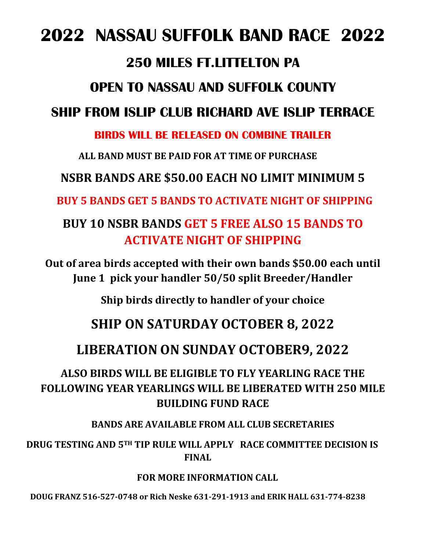### **2022 NASSAU SUFFOLK BAND RACE 2022**

#### **250 MILES FT.LITTELTON PA**

### **OPEN TO NASSAU AND SUFFOLK COUNTY**

#### **SHIP FROM ISLIP CLUB RICHARD AVE ISLIP TERRACE**

#### **BIRDS WILL BE RELEASED ON COMBINE TRAILER**

**ALL BAND MUST BE PAID FOR AT TIME OF PURCHASE**

#### **NSBR BANDS ARE \$50.00 EACH NO LIMIT MINIMUM 5**

**BUY 5 BANDS GET 5 BANDS TO ACTIVATE NIGHT OF SHIPPING** 

### **BUY 10 NSBR BANDS GET 5 FREE ALSO 15 BANDS TO ACTIVATE NIGHT OF SHIPPING**

**Out of area birds accepted with their own bands \$50.00 each until June 1 pick your handler 50/50 split Breeder/Handler** 

**Ship birds directly to handler of your choice**

#### **SHIP ON SATURDAY OCTOBER 8, 2022**

#### **LIBERATION ON SUNDAY OCTOBER9, 2022**

#### **ALSO BIRDS WILL BE ELIGIBLE TO FLY YEARLING RACE THE FOLLOWING YEAR YEARLINGS WILL BE LIBERATED WITH 250 MILE BUILDING FUND RACE**

#### **BANDS ARE AVAILABLE FROM ALL CLUB SECRETARIES**

 **DRUG TESTING AND 5TH TIP RULE WILL APPLY RACE COMMITTEE DECISION IS FINAL**

#### **FOR MORE INFORMATION CALL**

**DOUG FRANZ 516-527-0748 or Rich Neske 631-291-1913 and ERIK HALL 631-774-8238**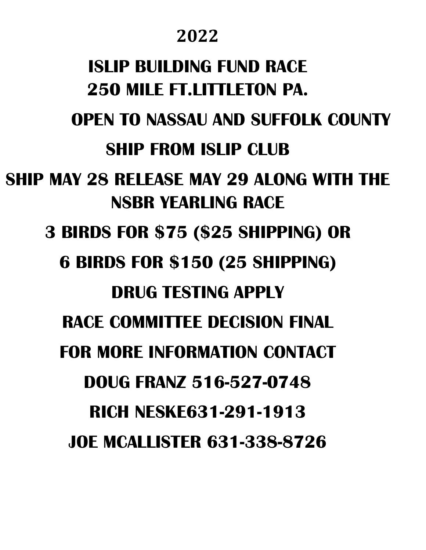### **2022**

# **ISLIP BUILDING FUND RACE 250 MILE FT.LITTLETON PA.**

**OPEN TO NASSAU AND SUFFOLK COUNTY**

### **SHIP FROM ISLIP CLUB**

**SHIP MAY 28 RELEASE MAY 29 ALONG WITH THE NSBR YEARLING RACE**

**3 BIRDS FOR \$75 (\$25 SHIPPING) OR** 

**6 BIRDS FOR \$150 (25 SHIPPING)**

### **DRUG TESTING APPLY**

**RACE COMMITTEE DECISION FINAL**

**FOR MORE INFORMATION CONTACT** 

**DOUG FRANZ 516-527-0748**

**RICH NESKE631-291-1913**

**JOE MCALLISTER 631-338-8726**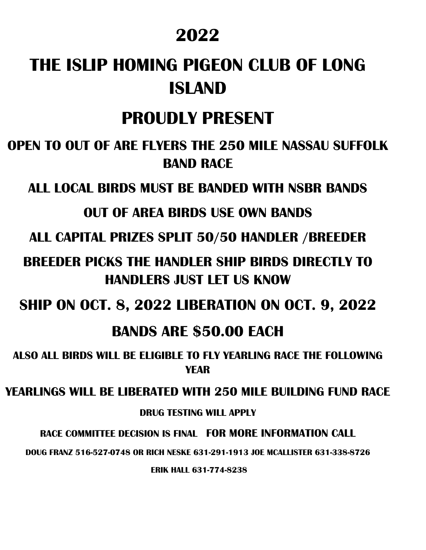### **2022**

## **THE ISLIP HOMING PIGEON CLUB OF LONG ISLAND**

### **PROUDLY PRESENT**

**OPEN TO OUT OF ARE FLYERS THE 250 MILE NASSAU SUFFOLK BAND RACE**

**ALL LOCAL BIRDS MUST BE BANDED WITH NSBR BANDS**

#### **OUT OF AREA BIRDS USE OWN BANDS**

**ALL CAPITAL PRIZES SPLIT 50/50 HANDLER /BREEDER**

**BREEDER PICKS THE HANDLER SHIP BIRDS DIRECTLY TO HANDLERS JUST LET US KNOW**

**SHIP ON OCT. 8, 2022 LIBERATION ON OCT. 9, 2022**

### **BANDS ARE \$50.00 EACH**

**ALSO ALL BIRDS WILL BE ELIGIBLE TO FLY YEARLING RACE THE FOLLOWING YEAR** 

**YEARLINGS WILL BE LIBERATED WITH 250 MILE BUILDING FUND RACE**

**DRUG TESTING WILL APPLY**

**RACE COMMITTEE DECISION IS FINAL FOR MORE INFORMATION CALL**

**DOUG FRANZ 516-527-0748 OR RICH NESKE 631-291-1913 JOE MCALLISTER 631-338-8726**

**ERIK HALL 631-774-8238**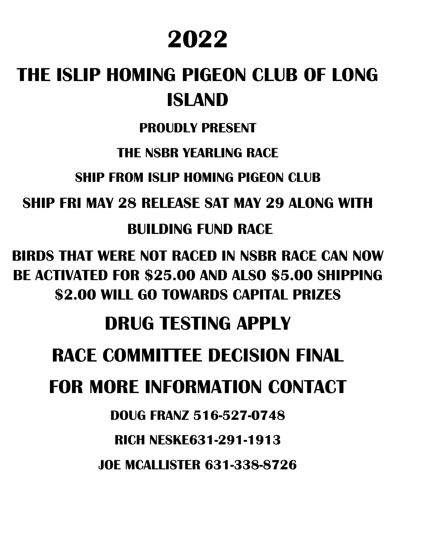# **2022**

# **THE ISLIP HOMING PIGEON CLUB OF LONG ISLAND**

### **PROUDLY PRESENT**

### **THE NSBR YEARLING RACE**

**SHIP FROM ISLIP HOMING PIGFON CLUB** 

**SHIP FRI MAY 28 RELEASE SAT MAY 29 ALONG WITH**

**BUILDING FUND RACE**

**BIRDS THAT WERE NOT RACED IN NSBR RACE CAN NOW BE ACTIVATED FOR \$25.00 AND ALSO \$5.00 SHIPPING \$2.00 WILL GO TOWARDS CAPITAL PRIZES**

## **DRUG TESTING APPLY**

## **RACE COMMITTEE DECISION FINAL**

## **FOR MORE INFORMATION CONTACT**

### **DOUG FRANZ 516-527-0748**

### **RICH NESKE631-291-1913**

**JOE MCALLISTER 631-338-8726**